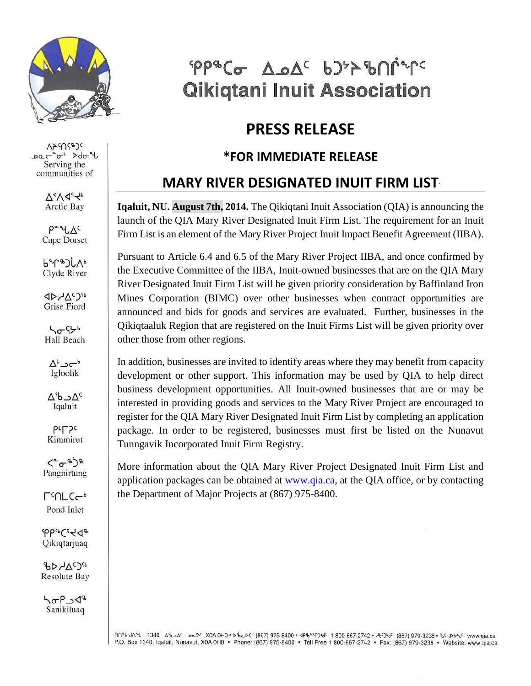

VycUdeJc Dac<sup>a</sup>r<sup>6</sup> Ddo<sup>q</sup> Serving the communities of

> $\Delta < \sqrt{4}$ **Arctic Bay**

 $P^{\alpha\alpha}L\Delta^{c}$ Cape Dorset

 $b^{\alpha}$ Clyde River

 $4D ACD$ **Grise Fiord** 

**ho** 956 Hall Beach

 $\Delta^L \rightarrow e^{-b}$ Igloolik

 $\Delta^{c}$ ے $\Delta^{c}$ Igaluit

**PLL**Sc Kimmirut

 $\langle e^{\alpha} \rangle^{\ast}$ Pangnirtung

**LeUTC-**Pond Inlet

 $400eC$ Qikiqtarjuaq

**ADAGE Resolute Bay** 

hop\_18 Sanikiluaq

# PP&Co A.oAc bJ >> bninc **Qikiqtani Inuit Association**

### **PRESS RELEASE**

#### **\*FOR IMMEDIATE RELEASE**

### **MARY RIVER DESIGNATED INUIT FIRM LIST**

**Iqaluit, NU. August 7th, 2014.** The Qikiqtani Inuit Association (QIA) is announcing the launch of the QIA Mary River Designated Inuit Firm List. The requirement for an Inuit Firm List is an element of the Mary River Project Inuit Impact Benefit Agreement (IIBA).

Pursuant to Article 6.4 and 6.5 of the Mary River Project IIBA, and once confirmed by the Executive Committee of the IIBA, Inuit-owned businesses that are on the QIA Mary River Designated Inuit Firm List will be given priority consideration by Baffinland Iron Mines Corporation (BIMC) over other businesses when contract opportunities are announced and bids for goods and services are evaluated. Further, businesses in the Qikiqtaaluk Region that are registered on the Inuit Firms List will be given priority over other those from other regions.

In addition, businesses are invited to identify areas where they may benefit from capacity development or other support. This information may be used by QIA to help direct business development opportunities. All Inuit-owned businesses that are or may be interested in providing goods and services to the Mary River Project are encouraged to register for the QIA Mary River Designated Inuit Firm List by completing an application package. In order to be registered, businesses must first be listed on the Nunavut Tunngavik Incorporated Inuit Firm Registry.

More information about the QIA Mary River Project Designated Inuit Firm List and application packages can be obtained at **www.qia.ca**, at the QIA office, or by contacting the Department of Major Projects at (867) 975-8400.